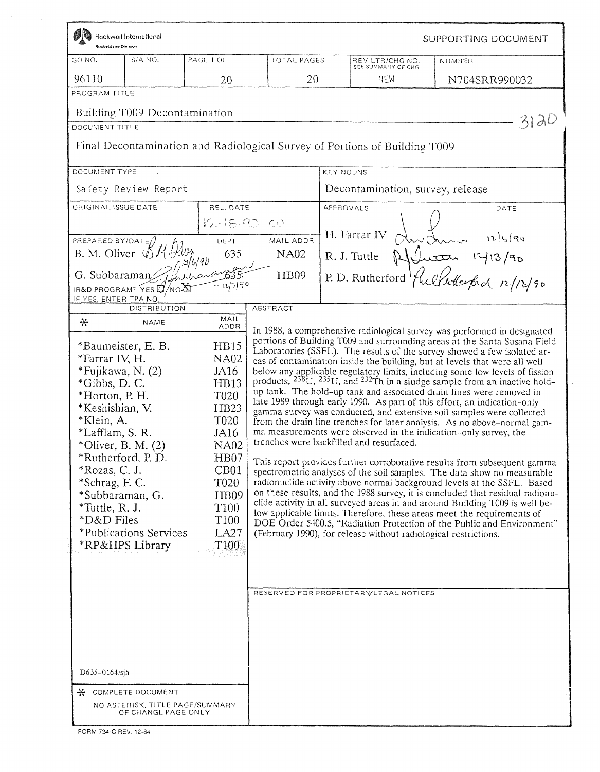| Rocketdyne Division                                                                                                                                                                                                                           | Rockwell International                                                                                              |                                                                                                                                                                                                                                                                 |                                         |                  |                                                                                                                                                       | SUPPORTING DOCUMENT                                                                                                                                                                                                                                                                                                                                                                                                                                                                                                                                                                                                                                                                                                                                                                                                                                                                                                                                                                                                                                                                                                                                                                                                                                                                                                                                                                                                             |
|-----------------------------------------------------------------------------------------------------------------------------------------------------------------------------------------------------------------------------------------------|---------------------------------------------------------------------------------------------------------------------|-----------------------------------------------------------------------------------------------------------------------------------------------------------------------------------------------------------------------------------------------------------------|-----------------------------------------|------------------|-------------------------------------------------------------------------------------------------------------------------------------------------------|---------------------------------------------------------------------------------------------------------------------------------------------------------------------------------------------------------------------------------------------------------------------------------------------------------------------------------------------------------------------------------------------------------------------------------------------------------------------------------------------------------------------------------------------------------------------------------------------------------------------------------------------------------------------------------------------------------------------------------------------------------------------------------------------------------------------------------------------------------------------------------------------------------------------------------------------------------------------------------------------------------------------------------------------------------------------------------------------------------------------------------------------------------------------------------------------------------------------------------------------------------------------------------------------------------------------------------------------------------------------------------------------------------------------------------|
| GO NO.                                                                                                                                                                                                                                        | S/A NO.                                                                                                             | PAGE 1 OF                                                                                                                                                                                                                                                       | <b>TOTAL PAGES</b>                      |                  | REV LTR/CHG NO.<br>SEE SUMMARY OF CHG                                                                                                                 | NUMBER                                                                                                                                                                                                                                                                                                                                                                                                                                                                                                                                                                                                                                                                                                                                                                                                                                                                                                                                                                                                                                                                                                                                                                                                                                                                                                                                                                                                                          |
| 96110                                                                                                                                                                                                                                         |                                                                                                                     | 20                                                                                                                                                                                                                                                              | 20                                      |                  | NEM                                                                                                                                                   | N704SRR990032                                                                                                                                                                                                                                                                                                                                                                                                                                                                                                                                                                                                                                                                                                                                                                                                                                                                                                                                                                                                                                                                                                                                                                                                                                                                                                                                                                                                                   |
| PROGRAM TITLE                                                                                                                                                                                                                                 |                                                                                                                     |                                                                                                                                                                                                                                                                 |                                         |                  |                                                                                                                                                       |                                                                                                                                                                                                                                                                                                                                                                                                                                                                                                                                                                                                                                                                                                                                                                                                                                                                                                                                                                                                                                                                                                                                                                                                                                                                                                                                                                                                                                 |
| DOCUMENT TITLE<br>DOCUMENT TYPE                                                                                                                                                                                                               | Building T009 Decontamination<br>Safety Review Report                                                               |                                                                                                                                                                                                                                                                 |                                         | <b>KEY NOUNS</b> | Final Decontamination and Radiological Survey of Portions of Building T009<br>Decontamination, survey, release                                        | $31\lambda$                                                                                                                                                                                                                                                                                                                                                                                                                                                                                                                                                                                                                                                                                                                                                                                                                                                                                                                                                                                                                                                                                                                                                                                                                                                                                                                                                                                                                     |
| ORIGINAL ISSUE DATE<br>PREPARED BY/DATE $/$<br>IF YES, ENTER TPA NO                                                                                                                                                                           | B. M. Oliver & M. Kluy<br>IR&D PROGRAM? $\widetilde{\mathsf{Y}}$ es $\sharp \mathcal{U}/\mathsf{No}\mathbf{X}$      | REL. DATE<br>$12 - 18 - 90 - 00$<br>DEPT<br>635<br>G. Subbaraman Whithouar 635<br>−ี. น า ีร∘                                                                                                                                                                   | MAIL ADDR<br><b>NA02</b><br><b>HB09</b> | APPROVALS        | H. Farrar IV                                                                                                                                          | DATE<br>Instruct<br>1216(90<br>R. J. Tuttle Alberta 1413/90<br>P. D. Rutherford <i>fullule food 12/13/90</i>                                                                                                                                                                                                                                                                                                                                                                                                                                                                                                                                                                                                                                                                                                                                                                                                                                                                                                                                                                                                                                                                                                                                                                                                                                                                                                                    |
| 쑤<br>*Farrar IV, H.<br>*Fujikawa, N. (2)<br>*Gibbs, D. C.<br>*Horton, P.H.<br>*Keshishian, V.<br>*Klein, A.<br>*Lafflam, S. R.<br>*Oliver, B. M. $(2)$<br>*Rozas, C. J.<br>*Schrag, F. C.<br>*Subbaraman, G.<br>$*Tutte, R. J.$<br>*D&D Files | <b>DISTRIBUTION</b><br>NAME<br>*Baumeister, E. B.<br>*Rutherford, P.D.<br>*Publications Services<br>*RP&HPS Library | MAIL<br>ADDR<br>HB15<br><b>NA02</b><br>JA16<br><b>HB13</b><br>T <sub>020</sub><br><b>HB23</b><br>T <sub>020</sub><br>JA16<br><b>NA02</b><br>HB07<br>CB01<br>T <sub>020</sub><br>H <sub>B09</sub><br>T <sub>100</sub><br>T100<br>LA <sub>27</sub><br><b>T100</b> | <b>ABSTRACT</b>                         |                  | trenches were backfilled and resurfaced.<br>(February 1990), for release without radiological restrictions.<br>RESERVED FOR PROPRIETARY/LEGAL NOTICES | In 1988, a comprehensive radiological survey was performed in designated<br>portions of Building T009 and surrounding areas at the Santa Susana Field<br>Laboratories (SSFL). The results of the survey showed a few isolated ar-<br>eas of contamination inside the building, but at levels that were all well<br>below any applicable regulatory limits, including some low levels of fission products, $^{238}$ U, $^{235}$ U, and $^{232}$ Th in a sludge sample from an inactive hold-<br>up tank. The hold-up tank and associated drain lines were removed in<br>late 1989 through early 1990. As part of this effort, an indication-only<br>gamma survey was conducted, and extensive soil samples were collected<br>from the drain line trenches for later analysis. As no above-normal gam-<br>ma measurements were observed in the indication-only survey, the<br>This report provides further corroborative results from subsequent gamma<br>spectrometric analyses of the soil samples. The data show no measurable<br>radionuclide activity above normal background levels at the SSFL. Based<br>on these results, and the 1988 survey, it is concluded that residual radionu-<br>clide activity in all surveyed areas in and around Building T009 is well be-<br>low applicable limits. Therefore, these areas meet the requirements of<br>DOE Order 5400.5, "Radiation Protection of the Public and Environment" |
| D635-0164/sjh<br>⋇                                                                                                                                                                                                                            | COMPLETE DOCUMENT<br>NO ASTERISK, TITLE PAGE/SUMMARY<br>OF CHANGE PAGE ONLY                                         |                                                                                                                                                                                                                                                                 |                                         |                  |                                                                                                                                                       |                                                                                                                                                                                                                                                                                                                                                                                                                                                                                                                                                                                                                                                                                                                                                                                                                                                                                                                                                                                                                                                                                                                                                                                                                                                                                                                                                                                                                                 |

FORM 734-C REV, 12-84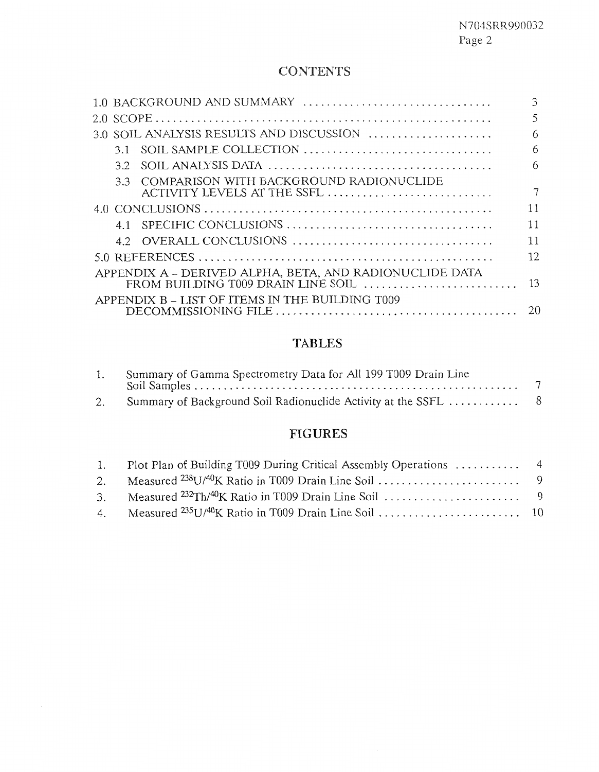# **CONTENTS**

|    | 1.0 BACKGROUND AND SUMMARY                                                 | 3  |
|----|----------------------------------------------------------------------------|----|
|    |                                                                            | 5  |
|    | $3.0$ SOIL ANALYSIS RESULTS AND DISCUSSION $\ldots$                        | 6  |
|    | 3.1 SOIL SAMPLE COLLECTION                                                 | 6  |
| 32 |                                                                            | 6  |
|    | 3.3 COMPARISON WITH BACKGROUND RADIONUCLIDE<br>ACTIVITY LEVELS AT THE SSFL |    |
|    |                                                                            | 11 |
|    |                                                                            | 11 |
|    |                                                                            | 11 |
|    |                                                                            | 12 |
|    | APPENDIX A - DERIVED ALPHA, BETA, AND RADIONUCLIDE DATA                    | 13 |
|    | APPENDIX B - LIST OF ITEMS IN THE BUILDING T009                            | 20 |
|    |                                                                            |    |

# **TABLES**

| Summary of Gamma Spectrometry Data for All 199 T009 Drain Line |  |
|----------------------------------------------------------------|--|
|                                                                |  |

# **FIGURES**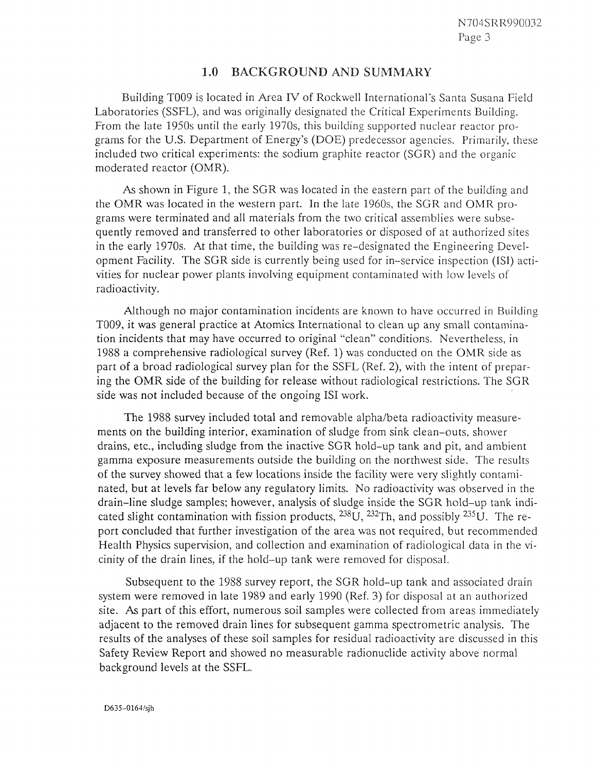#### $1.0$ BACKGROUND AND SUMMARY

Building TO09 is located in Area N of Rockwell International's Santa Susana Field Laboratories (SSFL), and was originally designated the Critical Experiments Building. From the late 1950s until the early 1970s, this building supported nuclear reactor programs for the U.S. Department of Energy's (DOE) predecessor agencies. Primarily, these included two critical experiments: the sodium graphite reactor (SGR) and the organic moderated reactor (OMR).

**As** shown in Figure 1, the SGR was located in the eastern part of the building and the OMR was located in the western part. In the late 1960s, the SGR and OMR programs were terminated and all materials from the two critical assemblies were subsequently removed and transferred to other laboratories or disposed of at authorized sites in the early 1970s. At that time, the building was re-designated the Engineering Development Facility. The SGR side is currently being used for in-service inspection (ISI) activities for nuclear power plants involving equipment contaminated with low levels of radioactivity.

Although no major contamination incidents are known to have occurred in Building T009, it was general practice at Atomics International to clean up any small contarnination incidents that may have occurred to original "clean" conditions. Nevertheless, in 1988 a comprehensive radiological survey (Ref. 1) was conducted on the OMR side as part of a broad radiological survey plan for the SSFL (Ref. 2), with the intent of preparing the OMR side of the building for release without radiological restrictions. The SGR side was not included because of the ongoing IS1 work.

The 1988 survey included total and removable alpha/beta radioactivity measurements on the building interior, examination of sludge from sink clean-outs, shower drains, etc., including sludge from the inactive SGR hold-up tank and pit, and ambient gamma exposure measurements outside the building on the northwest side. The results of the survey showed that a few locations inside the facility were very slightly contaminated, but at levels far below any regulatory limits. No radioactivity was observed in the drain-line sludge samples; however, analysis of sludge inside the SGR hold-up tank indicated slight contamination with fission products,  $^{238}$ U,  $^{232}$ Th, and possibly  $^{235}$ U. The report concluded that further investigation of the area was not required, but recommended Health Physics supervision, and collection and examination of radiological data in the vicinity of the drain lines, if the hold-up tank were removed for disposal.

Subsequent to the 1958 survey report, the SGR hold-up tank and associated drain system were removed in late 1989 and early 1990 (Ref. 3) for disposal at an authorized site. **As** part of this effort, numerous soil samples were collected from areas immediately adjacent to the removed drain lines for subsequent gamma spectrometric analysis. The results of the analyses of these soil samples for residual radioactivity are discussed in this Safety Review Report and showed no measurable radionuclide activity above normal background levels at the SSFL.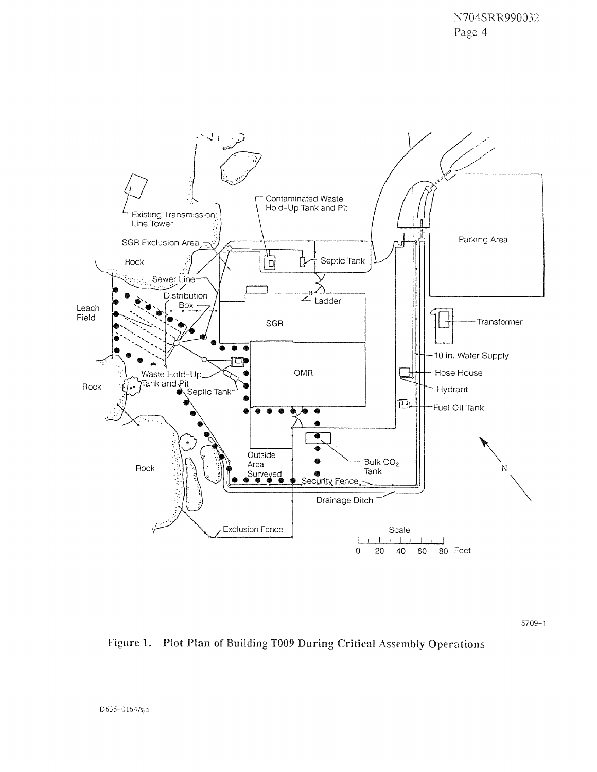

 $5709 - 1$ 

Figure 1. Plot Plan of Building T009 During Critical Assembly Operations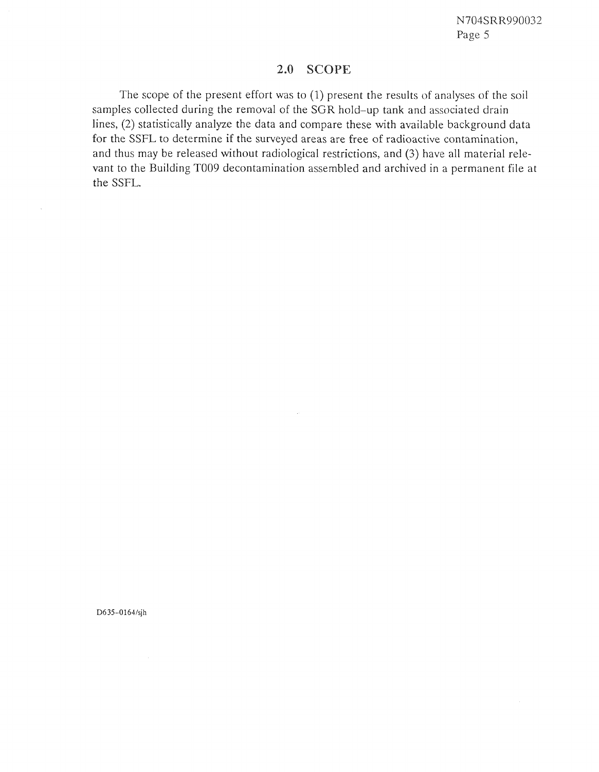## 2.0 SCOPE

The scope of the present effort was to (1) present the results of analyses of the soil samples collected during the removal of the SGR hold-up tank and associated drain lines, (3) statistically analyze the data and compare these with available background data for the SSFL to determine if the surveyed areas are free of radioactive contamination, and thus may be released without radiological restrictions, and (3) have all material relevant to the Building TOO9 decontamination assembled and archived in a permanent file at the SSFL.

#### D635-0164/sjh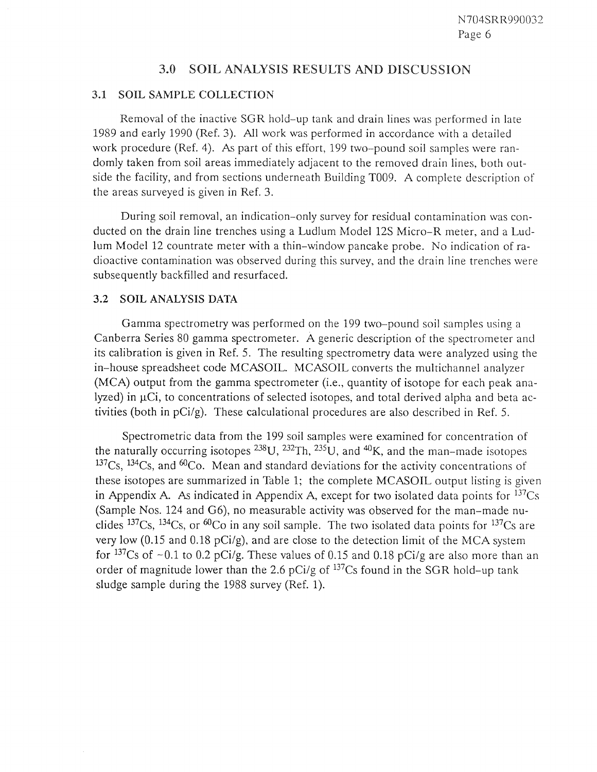#### $3.0$ SOIL ANALYSIS RESULTS AND DISCUSSION

#### **3.1** SOIL SAMPLE

Removal of the inactive SGR hold-up tank and drain lines was performed in late 1989 and early 1990 (Ref. 3). All work was performed in accordance with a detailed work procedure (Ref. 4). **As** part of this effort, 199 two-pound soil samples were randomly taken from soil areas immediately adjacent to the removed drain lines, both outside the facility, and from sections underneath Building T009. A complete description of the areas surveyed is given in Ref. 3.

During soil removal, an indication-only survey for residual contamination was conducted on the drain line trenches using a Ludlum Model 12s Micro-R meter, and a Ludlum Model 12 countrate meter with a thin-window pancake probe. No indication of radioactive contamination was observed during this survey, and the drain line trenches were subsequently backfilled and resurfaced.

#### **3.2** SOIL ANALYSIS DATA

Gamma spectrometry was performed on the 199 two-pound soil samples using a Canberra Series 80 gamma spectrometer. A generic description of the spectrometer and its calibration is given in Ref. *5.* The resulting spectrometry data were analyzed using the in-house spreadsheet code MCASOIL. MCASOIL converts the multichannel analyzer (MCA) output from the gamma spectrometer (i.e., quantity of isotope for each peak analyzed) in  $\mu$ Ci, to concentrations of selected isotopes, and total derived alpha and beta activities (both in pCi/g). These calculational procedures are also described in Ref. 5.

Spectrometric data from the 199 soil samples were examined for concentration of the naturally occurring isotopes  $^{238}U$ ,  $^{232}Th$ ,  $^{235}U$ , and  $^{40}K$ , and the man-made isotopes  $137Cs$ ,  $134Cs$ , and  $60Co$ . Mean and standard deviations for the activity concentrations of these isotopes are summarized in Table 1; the complete MCASOIL output listing is given in Appendix A. As indicated in Appendix A, except for two isolated data points for  $137Cs$ (Sample Nos. 124 and G6), no measurable activity was observed for the man-made nuclides  $137Cs$ ,  $134Cs$ , or  $60Co$  in any soil sample. The two isolated data points for  $137Cs$  are very low (0.15 and 0.18 pCi/g), and are close to the detection limit of the MCA system for <sup>137</sup>Cs of  $\sim$  0.1 to 0.2 pCi/g. These values of 0.15 and 0.18 pCi/g are also more than an order of magnitude lower than the 2.6 pCi/g of 137Cs found in the SGR hold-up tank sludge sample during the 1988 survey (Ref. 1).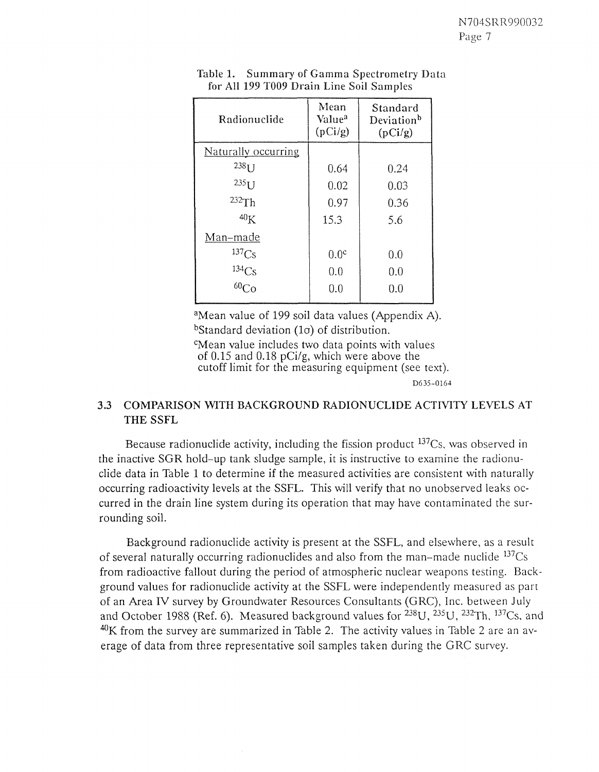| Radionuclide        | Mean<br>Value <sup>a</sup><br>(pCi/g) | Standard<br>Deviation <sup>b</sup><br>(pCi/g) |
|---------------------|---------------------------------------|-----------------------------------------------|
| Naturally occurring |                                       |                                               |
| $238$ $I$ J         | 0.64                                  | 0.24                                          |
| $2351$ J            | 0.02                                  | 0.03                                          |
| 232Th               | 0.97                                  | 0.36                                          |
| 40 <sub>K</sub>     | 15.3                                  | 5.6                                           |
| Man-made            |                                       |                                               |
| 137 <sub>Cs</sub>   | 0.0 <sup>c</sup>                      | 0.0                                           |
| $134$ Cs<br>$60$ Co | 0.0                                   | 0.0                                           |
|                     | 0.0                                   | 0.0                                           |
|                     |                                       |                                               |

Table 1. Summary of Gamma Spectrometry Data for All 199 T009 Drain Line Soil Samples

<sup>a</sup>Mean value of 199 soil data values (Appendix A). bStandard deviation  $(1\sigma)$  of distribution.

<sup>c</sup>Mean value includes two data points with values of 0.15 and 0.18 pCi/g, which were above the cutoff limit for the measuring equipment (see text). D635-0164

# **3.3 COMPARISON WITH BACKGROUND RADIONUCLIDE ACTIVITY** LEVELS **AT THE SSFL**

Because radionuclide activity, including the fission product  $137Cs$ , was observed in the inactive SGR hold-up tank sludge sample, it is instructive to examine the radionuclide data in Table 1 to determine if the measured activities are consistent with naturally occurring radioactivity levels at the SSFL. This will verify that no unobserved leaks occurred in the drain line system during its operation that may have contaminated the surrounding soil.

Background radionuclide activity is present at the SSFL, and elsewhere, as a result of several naturally occurring radionuclides and also from the man-made nuclide  $137Cs$ from radioactive fallout during the period of atmospheric nuclear weapons testing. Background values for radionuclide activity at the SSFL were independently measured as part of an Area N survey by Groundwater Resources Consultants (GRC), Inc. between July and October 1988 (Ref. 6). Measured background values for  $^{238}$ U,  $^{235}$ U,  $^{232}$ Th,  $^{137}$ Cs, and  $^{40}$ K from the survey are summarized in Table 2. The activity values in Table 2 are an average of data from three representative soil samples taken during the GRC survey.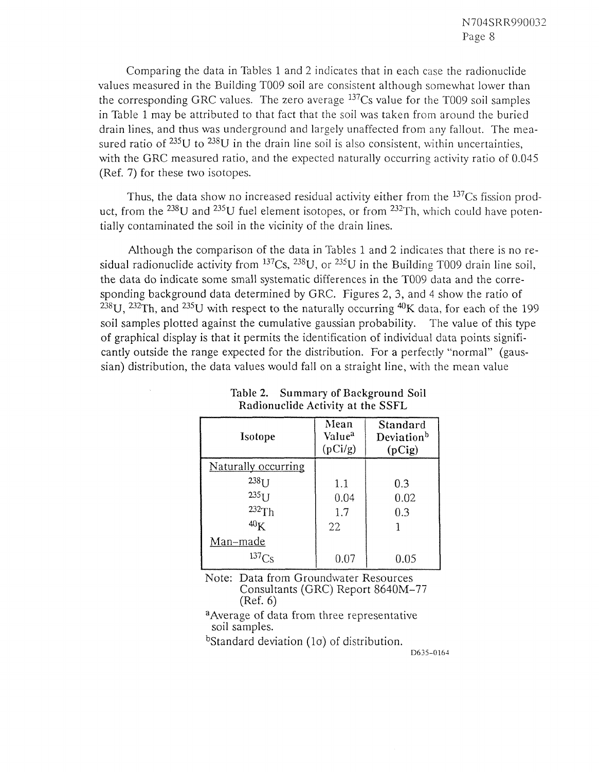Comparing the data in Tables 1 and 2 indicates that in each case the radionuclide values measured in the Building TOO9 soil are consistent although somewhat lower than the corresponding GRC values. The zero average  $137Cs$  value for the T009 soil samples in Table 1 may be attributed to that fact that the soil was taken from around the buried drain lines, and thus was underground and largely unaffected from any fallout. The measured ratio of  $^{235}U$  to  $^{238}U$  in the drain line soil is also consistent, within uncertainties, with the GRC measured ratio, and the expected naturally occurring activity ratio of 0.045 (Ref. 7) for these two isotopes.

Thus, the data show no increased residual activity either from the  $137Cs$  fission product, from the  $^{238}$ U and  $^{235}$ U fuel element isotopes, or from  $^{232}$ Th, which could have potentially contaminated the soil in the vicinity of the drain lines.

Although the comparison of the data in Tables 1 and 2 indicates that there is no residual radionuclide activity from  $^{137}Cs$ ,  $^{238}U$ , or  $^{235}U$  in the Building T009 drain line soil, the data do indicate some small systematic differences in the TO09 data and the corresponding background data determined by GRC. Figures 2, 3, and 4 show the ratio of  $238$ U,  $232$ Th, and  $235$ U with respect to the naturally occurring  $40$ K data, for each of the 199 soil samples plotted against the cumulative gaussian probability. The value of this type of graphical display is that it permits the identification of individual data points significantly outside the range expected for the distribution. For a perfectly "normal" (gaussian) distribution, the data values would fall on a straight line, with the mean value

| Isotope             | Mean<br>Value <sup>a</sup><br>(pCi/g) | Standard<br>Deviation <sup>b</sup><br>(pCig) |
|---------------------|---------------------------------------|----------------------------------------------|
| Naturally occurring |                                       |                                              |
| $238$ <sub>IJ</sub> | 1.1                                   | 0.3                                          |
| $235$ <sup>U</sup>  | 0.04                                  | 0.02                                         |
| 232Th               | 1.7                                   | 0.3                                          |
| 40 <sub>K</sub>     | 22                                    |                                              |
| <u>Man–made</u>     |                                       |                                              |
| $137C_S$            | 0.07                                  | 0.05                                         |

**Table 2. Summary of Background Soil Radionuclide Activity at the SSFL** 

Note: Data from Groundwater Resources Consultants (GRC) Report 8640M-77 (Ref. 6)

<sup>a</sup> Average of data from three representative soil samples.

bStandard deviation  $(1\sigma)$  of distribution.

D635-0164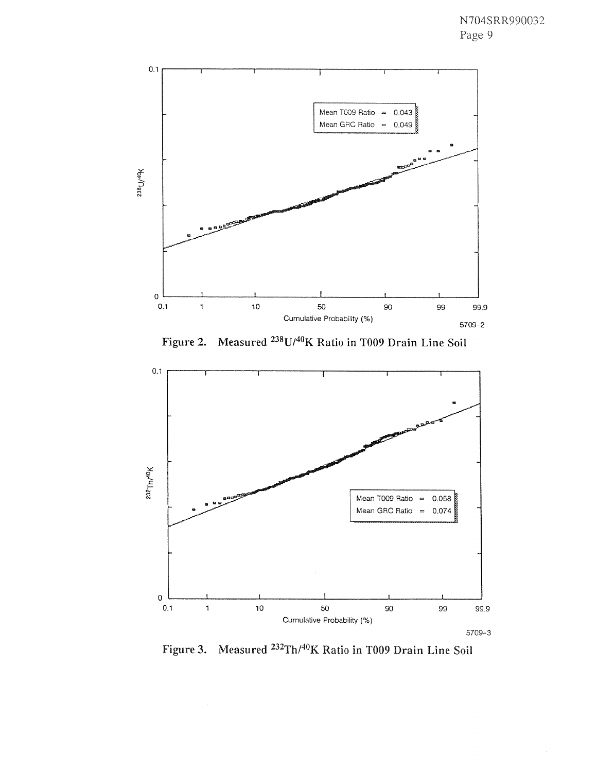

Figure 2. Measured <sup>238</sup>U/<sup>40</sup>K Ratio in T009 Drain Line Soil



Figure 3. Measured <sup>232</sup>Th/<sup>40</sup>K Ratio in T009 Drain Line Soil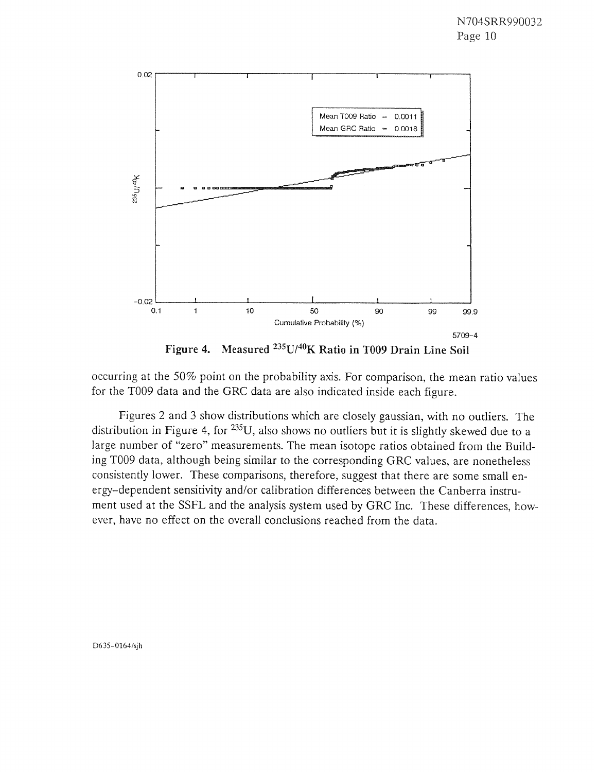

**Figure 4.** Measured <sup>235</sup>U/<sup>40</sup>K Ratio in T009 Drain Line Soil

occurring at the 50% point on the probability axis. For comparison, the mean ratio values for the TO09 data and the GRC data are also indicated inside each figure.

Figures 2 and 3 show distributions which are closely gaussian, with no outliers. The distribution in Figure 4, for <sup>235</sup>U, also shows no outliers but it is slightly skewed due to a large number of "zero" measurements. The mean isotope ratios obtained from the Building TO09 data, although being similar to the corresponding GRC values, are nonetheless consistently lower. These comparisons, therefore, suggest that there are some small energy-dependent sensitivity and/or calibration differences between the Canberra instrument used at the SSFL and the analysis system used by GRC Inc. These differences, however, have no effect on the overall conclusions reached from the data.

D635-0164/sjh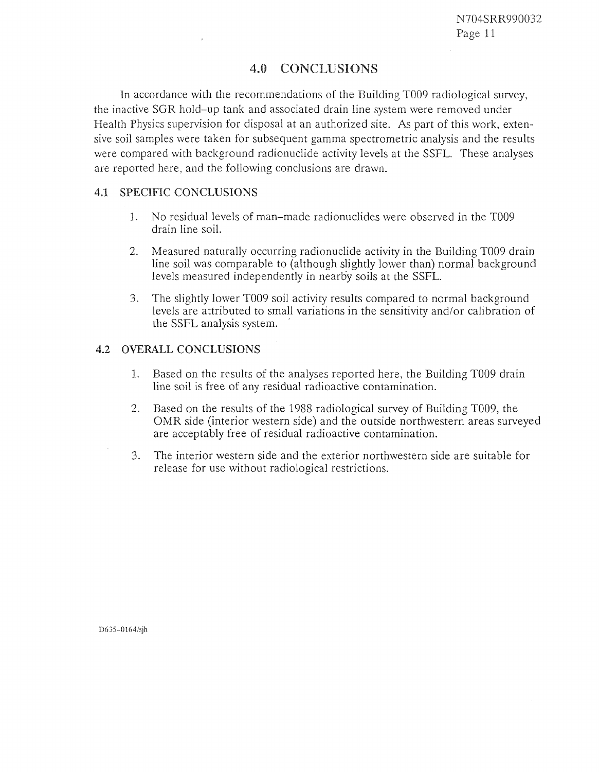# 4.0 CONCLUSIONS

In accordance with the recommendations of the Building TO09 radiological survey, the inactive SGR hold-up tank and associated drain line system were removed under Health Physics supervision for disposal at an authorized site. As part of this work, extensive soil samples were taken for subsequent gamma spectrometric analysis and the results were compared with background radionuclide activity levels at the SSFL. These analyses are reported here, and the following conclusions are drawn.

## **4.1 SPECIFIC CONCLUSIONS**

- 1. No residual levels of man-made radionuclides were observed in the TO09 drain line soil.
- 2. Measured naturally occurring radionuclide activity in the Building TOO9 drain line soil was comparable to (although slightly lower than) normal background levels measured independently in nearb'y soils at the SSFL.
- *3.* The slightly lower TO09 soil activity results compared to normal background levels are attributed to small variations in the sensitivity and/or calibration of the SSFL analysis system. '

## **4.2 OVERALL CONCLUSIONS**

- 1. Based on the results of the analyses reported here, the Building TO09 drain line soil is free of any residual radioactive contamination.
- *2.* Based on the results of the 1988 radiological survey of Building T009, the OMR side (interior western side) and the outside northwestern areas surveyed are acceptably free of residual radioactive contamination.
- 3. The interior western side and the exterior northwestern side are suitable for release for use without radiological restrictions.

D635-0164/sih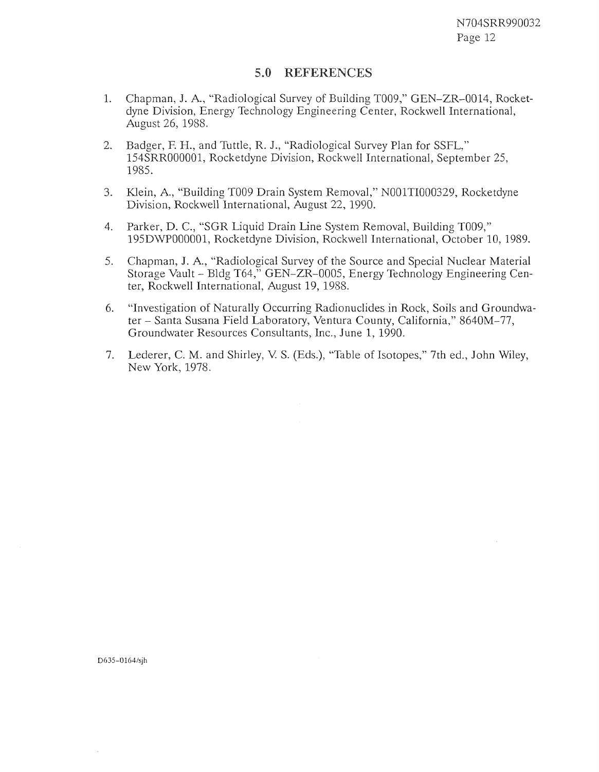## 5.0 REFERENCES

- 1. Chapman, J. A., "Radiological Survey of Building T009," GEN-ZR-0014, Rocketdyne Division, Energy Technology Engineering Center, Rockwell International, August 26, 1988.
- 2. Badger, F. H., and Tuttle, R. J., "Radiological Survey Plan for SSFL," 154SRR000001, Rocketdyne Division, Rockwell International, September 25, 1985.
- *3.* Klein, A., "Building TO09 Drain System Removal," NOOlTI000329, Rocketdyne Division, Rockwell International, August 22, 1990.
- 4. Parker, D. C., "SGR Liquid Drain Line System Removal, Building T009," 195D\VP000001, Rocketdyne Division, Rockwell International, October 10, 1989.
- 5. Chapman, J. A., "Radiological Survey of the Source and Special Nuclear Material Storage Vault - Bldg T64," GEN-ZR-0005, Energy Technology Engineering Center, Rockwell International, August 19, 1988.
- 6. "Investigation of Naturally Occurring Radionuclides in Rock, Soils and Groundwater - Santa Susana Field Laboratory, Ventura County, California," 8640M-77, Groundwater Resources Consultants, Inc., June 1, 1990.
- 7. Lederer, C. M. and Shirley, V. S. (Eds.), "Table of Isotopes," 7th ed., John Wiley, New York, 1978.

D635-0164/sjh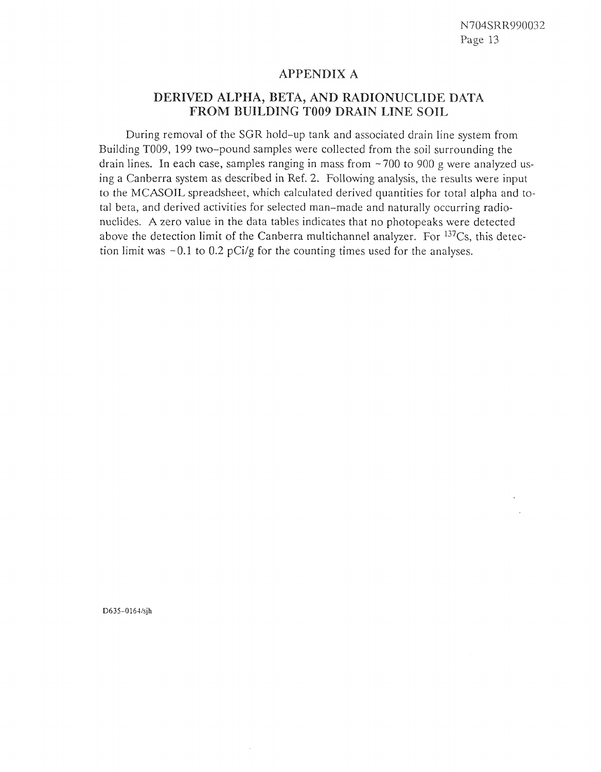### **APPENDIX A**

# DERIVED ALPHA, BETA, AND RADIONUCLIDE DATA FROM BUILDING T009 DRAIN LINE SOIL

During removal of the SGR hold-up tank and associated drain line system from Building T009, 199 two-pound samples were collected from the soil surrounding the drain lines. In each case, samples ranging in mass from  $\sim$  700 to 900 g were analyzed using a Canberra system as described in Ref. 2. Following analysis, the results were input to the MCASOIL spreadsheet, which calculated derived quantities for total alpha and total beta, and derived activities for selected man-made and naturally occurring radionuclides. A zero value in the data tables indicates that no photopeaks were detected above the detection limit of the Canberra multichannel analyzer. For  $137Cs$ , this detection limit was  $\sim 0.1$  to 0.2 pCi/g for the counting times used for the analyses.

D635-0164/sih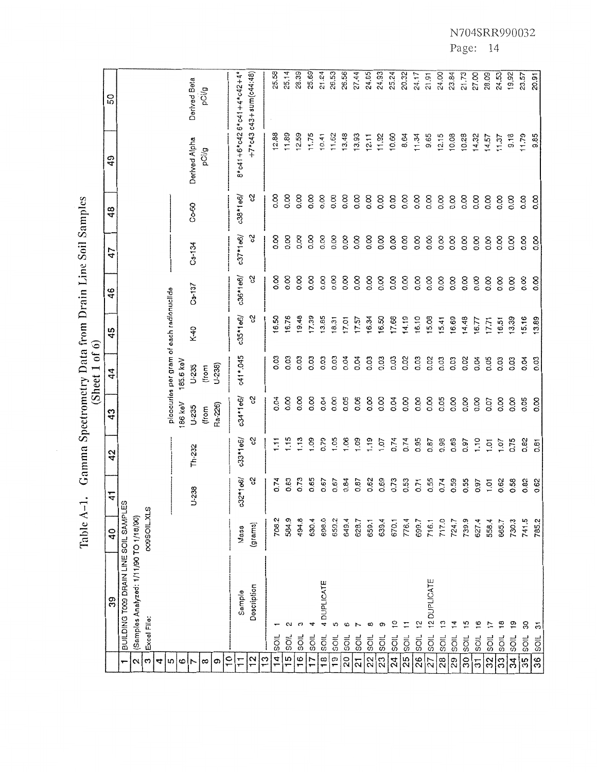25.58  $25.14$ 28.39 25.69  $21.24$ 26.53 26.56 27.44  $24.85$ 24.93 25.24 20.32  $24.17$ 24.00  $23.84$  $21.73$  $21.91$  $27.00$ 28.09  $24.53$ 19.92  $8*$  c41+6\*c42 6\*c41+4\*c42+4\*  $+7*$  c43 c43 + sum (c44:48) 23.57 20.91 Derived Beta pCi/g <u>ន</u> 12.88 11.89  $11.75$  $13.48$ 13.93  $12.11$ 11.92 10.60 9.65  $12.15$ 10.08  $12.59$ 11.62 8.64  $11.34$ 10.28 14.32  $14.57$ 9.18 11.79  $10.41$ 11.37 9.85 Derived Alpha pCl/g 49 88888888888888888888888  $c38*1e6/$ ଖ  $C_0 - 60$ **ooooooooooooooooooodddd**  48 88888888888888888888888  $c37*1e6/$ ပ္ပ **ooooooooooooooooooooooo**  Cs-134 47 88888888888888888888888  $c36*1e6/$ ပ္ပ **ooooooooooooooooooodddd**  Cs-137 46 picocuries per gram of each radionuciide  $c35*1e6/$ S 16.50 16.76 19.48 17.39  $13.85$ 16.34 16.50 14.19 16,10 15,08 17.57 17.68  $15.41$ 16.69 14.48 16.77  $17.71$ 13.39 15.16 13.89  $18.31$  $17,01$  $16.51$ K-40  $45$ c41\*.045 185.6 keV  $U - 235$  $U-238$ **ooooooooooooooooooodddd**  (from 44 g888%8gX888888%88868888  $c34*1e6/$ 186 keV δ, Ra-226) **ooooooooooooooooooodddd** U-235 (from  $43$  $0.74$ 0.95 0.98 0.89  $\overline{8}$ 0.79 1.05  $.09$  $\frac{9}{1}$ 1.07  $0.74$ 0.87  $1.10$  $c33*1e6/$ ပ္ပ  $\frac{1}{2}$  $1.15$  $1.13$  $.06$ 0.97  $\overline{5}$ 1.07 0.75 0.82  $0.81$ Th-232  $\boldsymbol{42}$  $c32*106/$ 0.65 0.67 0.67 0.87 0.69 0.53 0.71 0.55  $0.74$ 0.59 0.55 0.97 0.82 ပ္ပ  $0.74$ 0.63 0.73  $0.84$ 0.62 0.73  $\overline{5}$ 0.62 0.58 0.62 U-238  $\frac{1}{4}$ BUILDING TOO DRAIN LINE SOIL SAMPLES **009SOIL.XLS** (Samples Analyzed: 1/11/90 TO 1/18/90) 708.2 584.9 494.8 698.0 659.2 628.7 717.0 630.4 649.4 659.1 639.4 670.1 776.4 699.7 716.1 724.7 739.9 627.4 558.4 665.7 730.3 741.5 785.2 (grams) Mass  $\overline{a}$ 12 DUPLICATE 4 DUPLICATE Description Sample 39 Excel File:  $\overline{c}$ ă  $\mathfrak{S}$  $\frac{6}{1}$  $\sigma$  $\overline{ }$  $\ddot{a}$ 15  $\ddot{ }$  $\frac{8}{1}$ ٥Ļ g  $\mathbf{\alpha}$ ø ທ  $\omega$  $\overline{\sigma}$  $\sqrt{15}$  soll.  $\overline{23}$  soll. **SOIL SOIL SOIL SOIL SOIL** SOIL SOIL SOIL SOIL  $18$  soll. **SOIL**  $\overline{24}$  soll  $25$  soll  $\overline{26}$  soll. **SOIL SOIL** solL SOIL  $\frac{19}{19}$  soll.  $33$  soll SOIL  $\frac{1}{6}$  $\overline{\widetilde{2}}$  $\overline{32}$  $\overline{20}$  $\sqrt{21}$  $\sqrt{27}$  $\sqrt{\frac{8}{2}}$  $\sqrt{29}$  $\overline{3}$  $\sqrt{3}$  $\frac{1}{2}$  $13$  $\frac{1}{4}$  $\overline{17}$  $\sqrt{34}$  $\sqrt{35}$  $\overline{36}$ ್ თ  $\frac{1}{10}$  $\overline{\overline{1}}$  $\mathbf{\hat{z}}$ 4 <u> ທ</u>  $\ddot{\circ}$  $\infty$  $\overline{r}$ 

Table A-1. Gamma Spectrometry Data from Drain Line Soil Samples (Sheet 1 of 6) N704SRR990032

Page: 14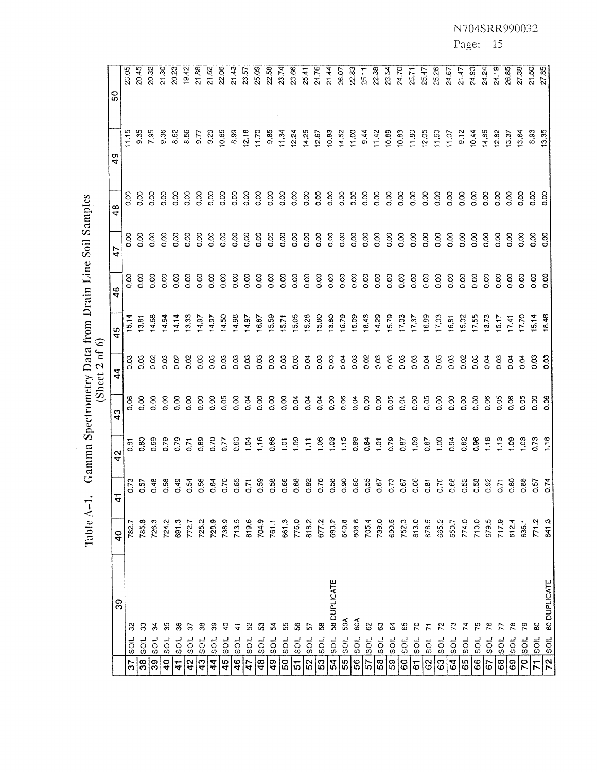Table A-1. Gamma Spectrometry Data from Drain Line Soil Samples<br>(Sheet 2 of 6)

|                |                | 39           | $\frac{1}{4}$ | $\mathbf{r}$      | 42             | 43             | 44             | 45                      | $\frac{6}{4}$  | 47             | 48             | $\frac{9}{4}$      | SO    |
|----------------|----------------|--------------|---------------|-------------------|----------------|----------------|----------------|-------------------------|----------------|----------------|----------------|--------------------|-------|
| 57             | <b>SOIL</b>    | 8            | 782.7         | 0.73              | စ်<br>ö        | 0.06           | <b>CO.O</b>    | 15.14                   | 8<br>o         | 8.00           | δ<br>S         | 11.15              | 23.05 |
| $\frac{8}{3}$  | <b>SOIL</b>    | $\mathbb{S}$ | 785,8         | 0.57              | <b>8.00</b>    | $\frac{8}{5}$  | 0.03           | 3.81                    | $\frac{8}{5}$  | 8 <sub>c</sub> | $\frac{8}{10}$ | 9.35               | 20.45 |
| 39             | soll           | रू           | 726.3         | 0.48              | 0.69           | 8 <sub>o</sub> | 0.02           | 4,68                    | $\frac{8}{2}$  | 8 <sub>o</sub> | $\frac{8}{2}$  | 795                | 20.32 |
| $\frac{1}{4}$  | <b>SOLL</b>    | న            | 724.2         | 0.58              | 0.79           | 8s             | 0.03           | 4.64                    | 8.00           | 8 <sub>o</sub> | 8.co           | 8.36               | 21.30 |
| $\frac{1}{4}$  | $\overline{5}$ | 8            | 691.3         | 0.49              | 0.79           | $\frac{8}{2}$  | 0.02           | 14.14                   | $\frac{8}{9}$  | $\frac{8}{2}$  | 8.o            | 8.62               | 20.23 |
| 42             | $\frac{1}{2}$  |              | 772.7         | 0.54              | 0.71           | $\frac{8}{5}$  | 0.02           | 13.33                   | 8 <sub>0</sub> | $\frac{8}{2}$  | 8.oo           | 8.56               | 19,42 |
| 43             | $rac{1}{20}$   | ఇ            | 725.2         | 0.56              | 0.89           | $\frac{8}{5}$  | $\frac{5}{2}$  | 14.97                   | 8.co           | $\frac{8}{2}$  | 8 <sub>o</sub> | 5.7                | 21.88 |
| $\frac{4}{4}$  | $\frac{1}{5}$  | ్లె          | 728.9         | 0.64              | 0.70           | $\frac{8}{2}$  | 0.03           | 14.97                   | $\frac{8}{6}$  | $\frac{8}{10}$ | $\frac{8}{2}$  | $\frac{8}{9}$      | 21.62 |
| 45             | soil           | ្            | 738.9         | 0.70              | $\overline{C}$ | 0.05           | 0.03           | 14,50                   | $\frac{8}{5}$  | $\frac{8}{2}$  | 8.o            | 10.65              | 22.06 |
| 46             | $\overline{5}$ |              | 713.5         | 0.65              | 0.63           | $\frac{8}{5}$  | 0.03           | 14,98                   | 8.o            | 8 <sub>o</sub> | 8.co           | 8.99               | 21.43 |
| $\frac{1}{4}$  | $\frac{1}{5}$  |              | 819.6         | $\overline{0.71}$ | $\frac{3}{2}$  | $\frac{8}{3}$  | 0.03           | 14.97                   | $\frac{8}{10}$ | $\frac{8}{5}$  | $\frac{8}{9}$  | 12.18              | 23.57 |
| 48             | ics            |              | 704.9         | 0.59              | 1.16           | $\frac{8}{2}$  | $\frac{03}{2}$ | 6.87                    | 8 <sub>o</sub> | 8              | 8.o            | 11.70              | 25.09 |
| $\overline{a}$ | $\overline{5}$ | 3            | 761.1         | 0.58              | 8.<br>0.86     | $\frac{8}{2}$  | co.o           | 15.59                   | 8.oo           | 8 <sub>o</sub> | 8s             | 9.85               | 22.58 |
| 50             | sol            | 53           | 661.3         | 0.66              | $\overline{5}$ | $\frac{8}{5}$  | ვ<br>ი         | 15.71                   | 8 <sub>o</sub> | 0.00           | 8 <sub>o</sub> | 11.34              | 23.74 |
| 5              | <b>SOIL</b>    | 8            | 776.0         | 0.68              | 8<br>1.09      | 0.04           | ို့            | 15.05                   | $\frac{8}{2}$  | $\frac{8}{9}$  | 8.o            | 12.24              | 23.66 |
| 52             | $\overline{5}$ | 5            | 818.2         | 0.92              | $\overline{1}$ | 80.04          | 0.04           | 15.28                   | $\frac{8}{2}$  | $\frac{8}{2}$  | 8<br>o         | 14.25              | 25.41 |
| 53             | <b>SOIL</b>    | 3            | 677.2         | 0.76              | $\frac{8}{1}$  | 0.04           | 0.03           | 15.80                   | 8.co           | δs             | 8.o            | 12.67              | 24.76 |
| $\mathbf{z}$   | <b>SOIL</b>    | 58 DUPLICATE | 693.2         | 0.58              | 1,03           | $\frac{8}{2}$  | 0.03           | 13.80                   | $\frac{8}{2}$  | $\frac{8}{1}$  | $\frac{8}{9}$  | 10.83              | 21.44 |
| 55             | <b>SOIL</b>    | 59A          | 640.8         | 0.90              | 1,15           | $\frac{8}{2}$  | $\frac{8}{3}$  | 15.79                   | $\frac{8}{2}$  | $\frac{8}{2}$  | o.oo           | 14.52              | 26.07 |
| 56             | soll           | 60A          | 808.6         | 0.60              | 0.99           | 0.04           | 0.03           | 15.09                   | 0.00           | 8 <sub>c</sub> | 8.00           | 11,00              | 22.83 |
| 57             | Sol            | 8            | 705.4         | 0.55              | 28             | 8.oo           | 0.02           | 18.43                   | 800            | $\frac{8}{2}$  | $\frac{8}{10}$ | 9.44               | 25.11 |
| 58             | $rac{1}{2}$    | ි            | 739.0         | 0.67              | $\frac{5}{2}$  | $\frac{8}{9}$  | 0.03           | 14.29                   | 0.00           | $\frac{8}{2}$  | $\frac{8}{2}$  | 11.42              | 22.38 |
| 59             | $\overline{5}$ | 3            | 690.5         | 0.73              | 0.79           | 0.05           | 0.03           |                         | 8 <sub>o</sub> | $\frac{8}{2}$  | $\frac{8}{2}$  | 10.89              | 23.54 |
| <b>GO</b>      | $rac{1}{5}$    | 65           | 752.3         | 0.67              | 0.87           | 0.04           | 0.03           | 15.79<br>17.03<br>17.37 | 8 <sub>0</sub> | 8.             | 8.o            | 10.83              | 24.70 |
| 6              | $\overline{5}$ | ς            | 613.0         | 0.66              | $\frac{8}{1}$  | 8 <sub>o</sub> | $\frac{3}{2}$  |                         | $\frac{8}{2}$  | $\frac{8}{10}$ | $\frac{8}{10}$ | $11.80$<br>$12.05$ | 25.71 |
| 62             | sor            |              | 678.5         | 0.81              | 0.87           | 0.05           | 0.04           | 16.89                   | 8 <sub>o</sub> | $\frac{8}{2}$  | $\frac{8}{2}$  |                    | 25.47 |
| 63             | sol            |              | 665.2         | 0.70              | $\frac{8}{1}$  | $\frac{8}{2}$  | 0.03           | 17.03                   | 0.00           | 0.00           | 8 <sub>0</sub> | 11.60              | 25.26 |
| 64             | $\overline{5}$ |              | 650.7         | 0.68              | 0.94           | $\frac{8}{2}$  | 0.03           | 16.81                   | 8 <sub>o</sub> | $\frac{8}{2}$  | 8 <sub>c</sub> | 11.07              | 24.67 |
| 65             | $\overline{5}$ |              | 774.0         | 0.52              | 0.82           | $\frac{8}{2}$  | 0.02           | 15.02                   | 0.00           | 8              | 8 <sub>o</sub> | 9.12               | 21.47 |
| 66             | <b>SOIL</b>    | 52           | 710.0         | 0.58              | 0.96           | $\frac{8}{2}$  | So             | 17.55                   | $\frac{8}{2}$  | 8 <sub>o</sub> | 8 <sub>o</sub> | 10.44              | 24.93 |
| 67             | <b>SOIL</b>    | 26           | 679.5         | 0.92              | 1.18           | 0.06           | $\alpha$       | 3.73                    | $\frac{8}{5}$  | 8.oo           | $\frac{8}{5}$  | 14.85              | 24.24 |
| 68             | $rac{1}{2}$    |              | 717.9         | 0.71              | $\frac{1}{2}$  | 0.05           | 0.03           | 5.17                    | 8 <sub>o</sub> | $\frac{8}{9}$  | 8 <sub>o</sub> | 12.82              | 24.19 |
| 69             | $rac{1}{2}$    |              | 612.4         | 0.80              | $rac{8}{1}$    | $\frac{8}{2}$  | $\frac{9}{9}$  | 17.41                   | $\frac{8}{2}$  | $\frac{8}{9}$  | 8 <sub>o</sub> | 13.37              | 26.85 |
| 70             | <b>SOIL</b>    |              | 636.1         | 0.88              | $\frac{3}{2}$  | 0.05           | ρ.<br>Ο        | 7.70                    | 8 <sub>o</sub> | 8 <sub>o</sub> | 8 <sub>o</sub> | 13.64              | 27.38 |
| $\overline{r}$ | <b>SOIL</b>    | 8            | 771.2         |                   | 573            | $\frac{8}{5}$  | g              | 5.14                    | 8.o            | 8 <sub>o</sub> | 8s             | 8.93               | 21.50 |
|                | $72$ soll      | BO DUPLICATE | 641.3         | 0.57<br>0.74      | $\frac{8}{1}$  | $\frac{8}{9}$  | $\frac{3}{2}$  | 18.46                   | $\frac{8}{6}$  | $\frac{8}{5}$  | $\frac{8}{9}$  | 13.35              | 27.85 |

N704SRR990032

Page: 15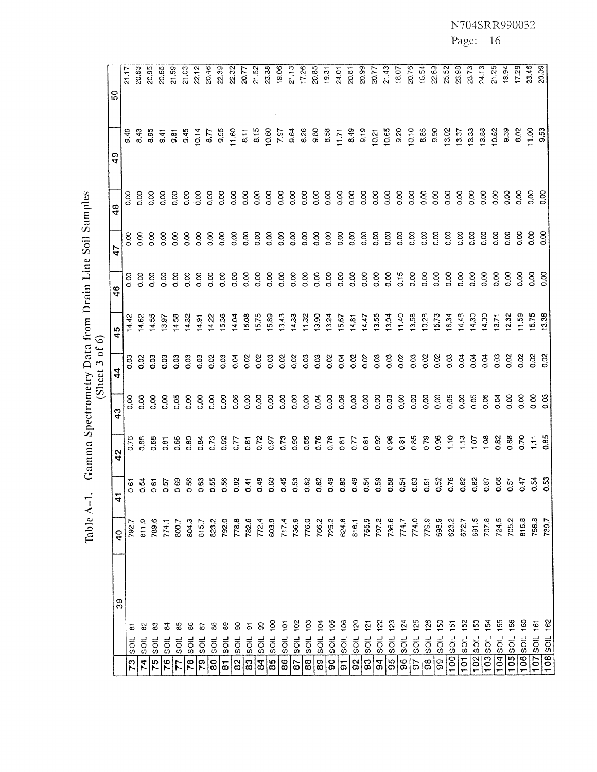Table A-1. Gamma Spectrometry Data from Drain Line Soil Samples<br>(Sheet 3 of 6)

|                     |                                         | 39 | $\frac{0}{4}$ | $\mathbf{4}$   | 42               | 43             | $\boldsymbol{4}$            | 45                            | 46             | 47             | 48             | $\mathfrak{a}_{\mathfrak{p}}$ | 5O             |
|---------------------|-----------------------------------------|----|---------------|----------------|------------------|----------------|-----------------------------|-------------------------------|----------------|----------------|----------------|-------------------------------|----------------|
| 73                  | $\infty$<br>5<br>S                      |    | 792.          | 0.61           | 0.76             | $\frac{8}{5}$  | ვ<br>ა                      | 14.42                         | 8<br>co        | 8<br>co        | 8 <sub>0</sub> | 9.46                          | 21.17          |
| $\mathbf{z}$        | 5<br>$\overline{5}$                     |    | 811.9         | $\frac{5}{9}$  | <b>880</b>       | 8.oo           | 0.02                        | 14.62                         | $\frac{8}{2}$  | 0.00           | $\frac{8}{2}$  | 8,43                          | <u>ಜ</u>       |
| $\overline{75}$     | 3<br>sol                                |    | 789.6         | 0.61           | 0.68             | 8 <sub>c</sub> | ို့                         | 14.55                         | $\frac{8}{9}$  | 8 <sub>o</sub> | 8 <sub>o</sub> | 8.95                          | 20.95          |
| $\overline{76}$     | इ<br>$\overline{5}$                     |    | 774.1         | 0.57           | 0.81             | 8 <sub>o</sub> | CO <sub>3</sub>             | 13.97                         | $\frac{8}{5}$  | 8 <sub>o</sub> | 8 <sub>c</sub> | $rac{4}{9}$                   | 20.65          |
| 77                  | 85<br>$\overline{5}$                    |    | 800.7         | 0.69           | 0.66             | 0.05           | ვ<br>ა                      | 14,58                         | 8 <sub>o</sub> | 8 <sub>o</sub> | 8.00           | $\frac{5}{9}$                 | 21.59          |
| 78                  | \$<br><b>SOIL</b>                       |    | 804.3         | 0.58           | 8.o              | $\frac{8}{2}$  | COO                         | 14.32                         | $\frac{8}{9}$  | 8 <sub>o</sub> | $\frac{8}{2}$  | 9.45                          | 21,03          |
| 79                  | e)<br>$rac{1}{2}$                       |    | 815,7         | <u>රි</u>      | 0.84             | 8 <sub>o</sub> | ို့                         | 14.91                         | 8.o            | 8 <sub>o</sub> | $\frac{8}{2}$  | 0.14                          | 22.12          |
| 8                   | 8<br>sol                                |    | 823.2         | <b>SS</b>      | 0.73             | 8 <sub>o</sub> | 0.02                        | 14.22                         | $\frac{8}{9}$  | $\frac{8}{2}$  | $\frac{8}{2}$  | 5.77                          | 20.46          |
| $\overline{a}$      | 8<br>SOIL                               |    | 792.0         | 0.56           | 0.92             | 8<br>o         | 8<br>co                     | 15.36                         | $\frac{8}{2}$  | $\frac{8}{2}$  | $\frac{8}{2}$  | 9.95                          | 2.39           |
| 82                  | 8<br>$rac{1}{2}$                        |    | 778,8         | 0.82           | C.D              | 8.0            | 5 <sub>o</sub>              | 14.04                         | $\frac{8}{2}$  | 8 <sub>0</sub> | $\frac{8}{10}$ | 11.60                         | 22.32          |
| ္က                  | $\overline{\sigma}$<br>sot              |    | 782.6         | 0.41           | 0.81             | 8 <sub>o</sub> | 0.02                        | 15.08                         | $\frac{8}{2}$  | 8 <sub>0</sub> | 8.o            | $\overline{6}$                | 12.02          |
| $ \mathfrak{A} $    | 8<br><b>SOIL</b>                        |    | 772.4         | 0.48           | 0.72             | 8 <sub>c</sub> | 0.02                        | 15.75                         | 8 <sub>o</sub> | 8 <sub>o</sub> | 8 <sub>0</sub> | 8.15                          | 21.52          |
| $\overline{85}$     | $\overline{8}$<br>SOIL                  |    | 603.9         | 0.60           | 0.97             | 8 <sub>o</sub> | 0.03                        | 15.89                         | $\frac{8}{2}$  | 8 <sub>o</sub> | 8 <sub>o</sub> | 10.60                         | 23.38          |
| 86                  | $\frac{5}{2}$<br><b>JICS</b>            |    | 717.4         | 0.45           | 0.73             | 8.oo           | 0.02                        | 13.43                         | 800            | 8 <sub>0</sub> | $\frac{8}{2}$  | 7.97                          | 19.06          |
| $\mathbf{g}$        | $\frac{8}{2}$<br><b>SOIL</b>            |    | 736,9         | $\frac{3}{2}$  | 800              | 8 <sub>o</sub> | 0.02                        | 14.33                         | 0.00           | $\frac{8}{2}$  | 8.o            | 9.64                          | 21.13          |
| $\bf{88}$           | $\frac{2}{5}$<br><b>SOIL</b>            |    | 776.0         | 0.62           | 0.55             | $\frac{8}{2}$  | 8                           | 11.32                         | $\frac{8}{2}$  | $\frac{8}{2}$  | 8.oo           | 8.26                          | 17.26          |
| $\mathbf{g}$        | $\bar{z}$<br><b>SOIL</b>                |    | 766.2         | 0.62           | 0.76             | 0.04           | CO <sub>3</sub>             | 13.90                         | $\frac{8}{2}$  | $\frac{8}{10}$ | $\frac{8}{2}$  | 9.80                          | 20,85          |
| <b>G</b>            | ξ<br>$rac{1}{2}$                        |    | 725.2         | 0.49           | 0.78             | $\frac{8}{9}$  | 0.02                        | 13.24                         | 8.oo           | 0.00           | 0.00           | 8.58                          | 19.31          |
| $\overline{\omega}$ | ខ្ទ<br><b>SOIL</b>                      |    | 624.8         | <b>80</b>      | 0.81             | 8.0            | $\alpha$                    | 15.67                         | $\frac{8}{2}$  | 0.00           | 8.0            | 11.71                         | 24.01          |
| 92                  | ši<br><b>SOIL</b>                       |    | 816.1         | 0.49           | $\tilde{\omega}$ | 0.00           | $\frac{8}{2}$               | 14.81                         | 8 <sub>o</sub> | 8 <sub>0</sub> | 0.00           | 8.49                          | 20.81          |
| $\mathbf{g}$        | <u>ب</u><br><b>SOIL</b>                 |    | 765.9         | 0.54           | 0.81             | 8 <sub>o</sub> | $\frac{8}{2}$               | 14.47                         | $\frac{8}{2}$  | 8 <sub>o</sub> | $\frac{8}{3}$  | 9.19                          | 20.99          |
| 54                  | <b>SOIL</b>                             |    | 797.2         | 0.59           | 0.92             | 8.o            | $\frac{3}{2}$               | 13.55                         | $\infty$       | 8 <sub>o</sub> | $\frac{8}{2}$  | 10.21                         | $\omega$ .77   |
| 95                  | SOIL                                    |    | 736.6         | <b>350</b>     | 0.96             | 0.03           | So                          | 13.94                         | $\frac{8}{5}$  | 8<br>0.0       | $\frac{8}{2}$  | 10.65                         | 21.43          |
| 96                  | $\tilde{z}$<br>sol                      |    | 774.7         | 0.54           | 0.81             | $\frac{8}{2}$  | 0.02                        | 11.40                         | 0.15           | $\infty$       | $\frac{8}{2}$  | 9.20                          | 18.07          |
| 5                   | <u>52</u><br>soll                       |    | 774.0         | 0.63           | 0.85             | 8 <sub>o</sub> | g                           | 13.58                         | 8 <sub>o</sub> | 8.0            | 8.00           | 10.10                         | 20.76          |
| $\frac{8}{3}$       | 126<br><b>SOIL</b>                      |    | 779.9         | 0.51           | 0.79             | 8 <sub>c</sub> | 0.02                        | 10.28                         | 8.o            | 8 <sub>0</sub> | $\frac{8}{2}$  | 8.85                          | 16.54          |
| 99                  | ន<br><b>SOIL</b>                        |    | 698.9         | 0.52           | 0.96             | $\frac{8}{2}$  | $\overline{0}$ .            | 15.73                         | 8.o            | 8 <sub>o</sub> | $\frac{8}{2}$  | 9.90                          | 22.69          |
| $\overline{100}$    | $\overline{5}$<br><b>SOIL</b>           |    | 623.2         | 0.76           | 1.10             | 0.05           | $\frac{3}{2}$               | 16.34                         | 8.o            | 8              | $\infty$       | 13.02                         | 25.52          |
| 101                 | 152<br>lisoil.                          |    | 672.7         | 0.82           | 1.13             | $\infty$       | $\mathfrak{L}_{\mathbf{0}}$ | 14.48                         | $\frac{8}{2}$  | $\frac{8}{2}$  | $\frac{8}{2}$  | 13.37                         | 23.98          |
| 102                 | $\frac{53}{2}$<br><b>SOIL</b>           |    | 691.5         | 0.82           | 101              | 0.05           | 0.04                        | 4.30                          | 8.             | $\frac{8}{5}$  | $\frac{8}{2}$  | 13.33                         | 23.73          |
| $\overline{103}$    | $\frac{1}{2}$<br><b>SOIL</b>            |    | 707.8         | 0.87           | $\frac{8}{1}$    | $\frac{8}{5}$  | 0.04                        | 14.30                         | 8.             | 8.             | 8 <sub>o</sub> | 13.88                         | 24.13          |
|                     | 55<br>$104$ <sub>sol</sub>              |    | 724.5         | 0.68           | 0.82             | ρö             | $\frac{3}{2}$               | 13.71                         | $\frac{8}{5}$  | 8.             | 8 <sub>o</sub> | 10.62                         | 21.25          |
| 105                 | $\frac{8}{5}$<br><b>SOIL</b>            |    | 705.2         | $\frac{5}{10}$ | 0.88             | $\frac{8}{2}$  | $\frac{8}{2}$               | 12.32                         | $\frac{8}{5}$  | 8.             | 8 <sub>o</sub> | 9.39                          | 18.94          |
|                     | 8<br>$106$ <sub>soll</sub>              |    | 816.8         | 0.47           | 0.70             | $\frac{8}{9}$  | o.co                        |                               | 8 <sub>o</sub> | 8s             | 0.00           | 8.02                          | 17.28          |
|                     | $\frac{6}{16}$<br>$107$ soll            |    | 758.8         | 0.54           | Ξ                | 8.             | 8<br>8<br>9<br>9            | $11.59$<br>$15.75$<br>$13.38$ | 8 <sub>o</sub> | $\frac{8}{9}$  | 8.00           | 11.00                         | 23.46<br>20.05 |
|                     | 162<br>$\overline{108}$ <sub>soll</sub> |    | 739.7         | 3<br>0.53      | 0.85             | ္ထိ            |                             |                               | 8              | 8 <sub>o</sub> | 8 <sub>o</sub> | 3.53                          |                |

N704SRR990032

# Page: 16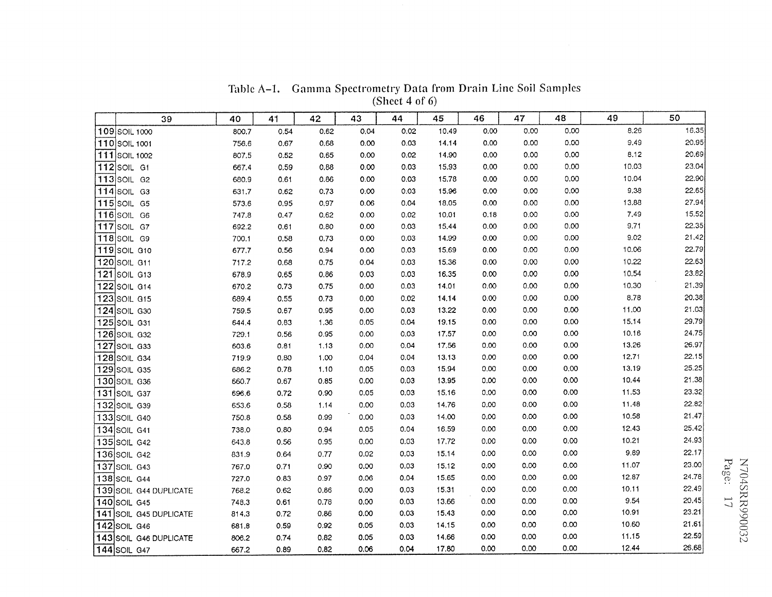|     | 39                        | 40    | 41   | 42   | 43   | 44   | 45    | 46   | 47   | 48   | 49    | 50    |
|-----|---------------------------|-------|------|------|------|------|-------|------|------|------|-------|-------|
|     | 109 SOIL 1000             | 800.7 | 0.54 | 0.62 | 0.04 | 0.02 | 10.49 | 0.00 | 0.00 | 0.00 | 8.26  | 16.35 |
|     | 110 SOIL 1001             | 756.6 | 0.67 | 0.68 | 0.00 | 0.03 | 14.14 | 0.00 | 0.00 | 0.00 | 9.49  | 20.95 |
| 111 | <b>SOIL 1002</b>          | 807.5 | 0.52 | 0.65 | 0.00 | 0.02 | 14.90 | 0.00 | 0.00 | 0.00 | 8.12  | 20.69 |
|     | 112 SOIL G1               | 667.4 | 0.59 | 0.88 | 0.00 | 0.03 | 15.93 | 0.00 | 0.00 | 0.00 | 10.03 | 23.04 |
|     | $113$ SOIL G <sub>2</sub> | 680.9 | 0.61 | 0.86 | 0.00 | 0.03 | 15,78 | 0.00 | 0.00 | 0.00 | 10.04 | 22.90 |
|     | 114 SOIL G3               | 631.7 | 0.62 | 0.73 | 0.00 | 0.03 | 15.96 | 0.00 | 0,00 | 0.00 | 9.38  | 22.65 |
|     | 115 SOIL G5               | 573.6 | 0.95 | 0.97 | 0.06 | 0.04 | 18.05 | 0.00 | 0.00 | 0.00 | 13.88 | 27.94 |
|     | 116 SOIL G6               | 747.8 | 0.47 | 0.62 | 0.00 | 0.02 | 10.01 | 0.18 | 0.00 | 0.00 | 7.49  | 15.52 |
| 117 | SOIL G7                   | 692.2 | 0.61 | 0.80 | 0.00 | 0.03 | 15.44 | 0.00 | 0.00 | 0.00 | 9.71  | 22.35 |
| 118 | <b>SOIL G9</b>            | 700.1 | 0.58 | 0.73 | 0,00 | 0.03 | 14.99 | 0.00 | 0.00 | 0.00 | 9.02  | 21.42 |
| 119 | SOIL G10                  | 677.7 | 0.56 | 0.94 | 0.00 | 0.03 | 15.69 | 0.00 | 0.00 | 0,00 | 10.06 | 22.79 |
|     | 120 SOIL G11              | 717.2 | 0.68 | 0.75 | 0.04 | 0.03 | 15.36 | 0.00 | 0,00 | 0,00 | 10.22 | 22.63 |
| 121 | SOIL G13                  | 678.9 | 0.65 | 0.86 | 0.03 | 0.03 | 16.35 | 0.00 | 0.00 | 0.00 | 10.54 | 23.82 |
|     | 122 SOIL G14              | 670.2 | 0.73 | 0.75 | 0,00 | 0.03 | 14.01 | 0.00 | 0.00 | 0,00 | 10.30 | 21.39 |
|     | 123 SOIL G15              | 689.4 | 0.55 | 0.73 | 0.00 | 0.02 | 14.14 | 0.00 | 0.00 | 0,00 | 8.78  | 20.38 |
|     | <b>124</b> SOIL G30       | 759.5 | 0.67 | 0.95 | 0.00 | 0.03 | 13.22 | 0.00 | 0.00 | 0.00 | 11.00 | 21.03 |
|     | 125 SOIL G31              | 644.4 | 0.83 | 1.36 | 0.05 | 0.04 | 19.15 | 0.00 | 0.00 | 0.00 | 15.14 | 29.79 |
|     | 126 SOIL G32              | 729.1 | 0.56 | 0.95 | 0.00 | 0.03 | 17.57 | 0.00 | 0.00 | 0.00 | 10.16 | 24.75 |
| 127 | SOIL G33                  | 603.6 | 0.81 | 1.13 | 0.00 | 0.04 | 17,56 | 0.00 | 0,00 | 0.00 | 13.26 | 26.97 |
|     | 128 SOIL G34              | 719.9 | 0.80 | 1.00 | 0.04 | 0.04 | 13.13 | 0.00 | 0.00 | 0.00 | 12.71 | 22.15 |
|     | <b>129 SOIL G35</b>       | 686.2 | 0.78 | 1.10 | 0.05 | 0.03 | 15.94 | 0.00 | 0.00 | 0,00 | 13.19 | 25 25 |
|     | 130 SOIL G36              | 660.7 | 0.67 | 0.85 | 0.00 | 0.03 | 13.95 | 0.00 | 0.00 | 0.00 | 10.44 | 21.38 |
|     | <b>131 SOIL G37</b>       | 696.6 | 0.72 | 0.90 | 0.05 | 0.03 | 15.16 | 0.00 | 0,00 | 0.00 | 11.53 | 23.32 |
|     | 132 SOIL G39              | 653.6 | 0.58 | 1.14 | 0.00 | 0.03 | 14.76 | 0.00 | 0.00 | 0.00 | 11,48 | 22.82 |
|     | 133 SOIL G40              | 750.8 | 0.58 | 0.99 | 0.00 | 0.03 | 14.00 | 0.00 | 0.00 | 0.00 | 10.58 | 21.47 |
|     | 134 SOIL G41              | 738.0 | 0.80 | 0.94 | 0.05 | 0.04 | 16.59 | 0.00 | 0,00 | 0,00 | 12.43 | 25.42 |
|     | 135 SOIL G42              | 643.8 | 0.56 | 0.95 | 0,00 | 0.03 | 17.72 | 0.00 | 0.00 | 0.00 | 10.21 | 24.93 |
|     | <b>136 SOIL G42</b>       | 831.9 | 0.64 | 0.77 | 0.02 | 0.03 | 15.14 | 0.00 | 0.00 | 0.00 | 9.89  | 22.17 |
| 137 | SOIL G43                  | 767.0 | 0.71 | 0.90 | 0,00 | 0,03 | 15.12 | 0.00 | 0.00 | 0,00 | 11.07 | 23.00 |
| 138 | SOIL G44                  | 727.0 | 0.83 | 0.97 | 0.06 | 0.04 | 15.65 | 0.00 | 0.00 | 0.00 | 12.87 | 24.78 |
| 139 | SOIL G44 DUPLICATE        | 768.2 | 0.62 | 0.86 | 0.00 | 0.03 | 15.31 | 0.00 | 0.00 | 0.00 | 10.11 | 22.49 |
| 140 | SOIL G45                  | 748.3 | 0.61 | 0.78 | 0.00 | 0.03 | 13.66 | 0.00 | 0.00 | 0.00 | 9.54  | 20.45 |
| 141 | SOIL G45 DUPLICATE        | 814.3 | 0.72 | 0.86 | 0.00 | 0.03 | 15.43 | 0,00 | 0.00 | 0,00 | 10.91 | 23.21 |
| 142 | SOIL G46                  | 681.8 | 0.59 | 0.92 | 0.05 | 0.03 | 14.15 | 0.00 | 0.00 | 0.00 | 10.60 | 21.61 |
| 143 | SOIL G46 DUPLICATE        | 806.2 | 0.74 | 0.82 | 0.05 | 0.03 | 14.66 | 0.00 | 0.00 | 0.00 | 11.15 | 22.59 |
|     | 144 SOIL G47              | 667.2 | 0.89 | 0.82 | 0.06 | 0.04 | 17.80 | 0.00 | 0.00 | 0.00 | 12.44 | 26.68 |

Table A-1. Gamma Spectrometry Data from Drain Line Soil Samples (Sheet 4 of 6)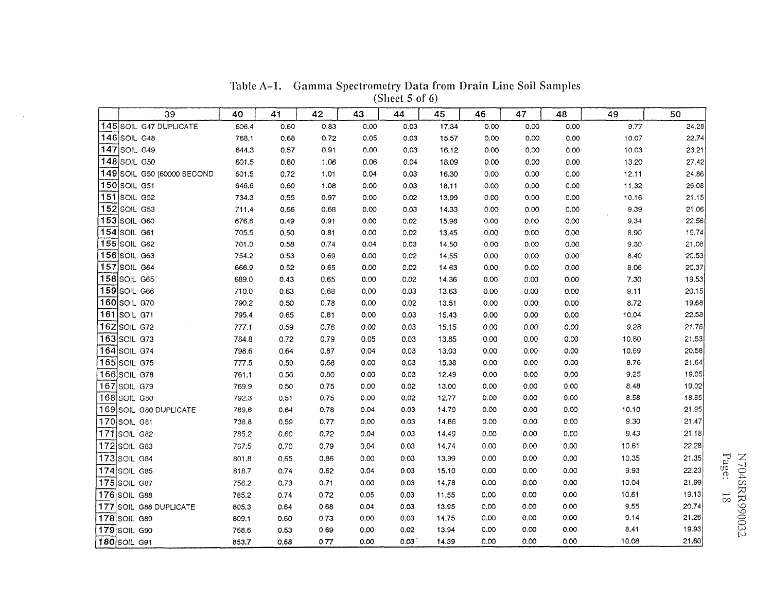|     |                                     |                | Table A-1. Gamma Spectrometry Data from Drain Line Soil Samples |              |              |                   |                |              |              |              |              |                |
|-----|-------------------------------------|----------------|-----------------------------------------------------------------|--------------|--------------|-------------------|----------------|--------------|--------------|--------------|--------------|----------------|
|     |                                     |                |                                                                 |              |              | (Sheet 5 of $6$ ) |                |              |              |              |              |                |
|     | 39                                  | 40             | 41                                                              | 42           | 43           | 44                | 45             | 46           | 47           | 48           | 49           | 50             |
|     | 145 SOIL G47 DUPLICATE              | 606.4          | 0.60                                                            | 0.83         | 0.00         | 0.03              | 17.34          | 0.00         | 0.00         | 0.00         | 9.77         | 24.28          |
|     | 146 SOIL G48                        | 768.1          | 0.68                                                            | 0.72         | 0.05         | 0.03              | 15.57          | 0.00         | 0.00         | 0.00         | 10.07        | 22.74          |
|     | 147 SOIL G49                        | 644.3          | 0.57                                                            | 0.91         | 0,00         | 0.03              | 16.12          | 0.00         | 0.00         | 0.00         | 10.03        | 23.21          |
|     | 148 SOIL G50                        | 601.5          | 0.80                                                            | 1.06         | 0.06         | 0.04              | 18.09          | 0.00         | 0.00         | 0,00         | 13.20        | 27.42          |
|     | 149 SOIL G50 (60000 SECOND          | 601.5          | 0.72                                                            | 1.01         | 0.04         | 0.03              | 16.30          | 0.00         | 0.00         | 0.00         | 12.11        | 24.86          |
|     | 150 $ $ SOIL G51                    | 646.6          | 0.60                                                            | 1.08         | 0.00         | 0.03              | 18.11          | 0.00         | 0.00         | 0.00         | 11.32        | 26.08          |
|     | 151 SOIL G52                        | 734.3          | 0.55                                                            | 0.97         | 0.00         | 0.02              | 13.99          | 0.00         | 0.00         | 0.00         | 10.16        | 21.15          |
|     | <b>152</b> SOIL G53<br>153 SOIL G60 | 711.4          | 0.66                                                            | 0.68         | 0.00         | 0.03              | 14.33          | 0.00         | 0.00         | 0.00         | 9.39         | 21.06          |
|     | <b>154</b> SOIL G61                 | 676.6<br>705.5 | 0.49<br>0.50                                                    | 0.91<br>0.81 | 0.00<br>0.00 | 0.02<br>0.02      | 15,98<br>13,45 | 0.00<br>0,00 | 0.00<br>0.00 | 0.00<br>0.00 | 9.34<br>8.90 | 22.56<br>19.74 |
|     | 155 SOIL G62                        | 701.0          | 0.58                                                            | 0.74         | 0.04         | 0.03              | 14.50          | 0.00         | 0.00         | 0.00         | 9.30         | 21.08          |
|     | 156 SOIL G63                        | 754.2          | 0.53                                                            | 0.69         | 0.00         | 0.02              | 14.55          | 0,00         | 0.00         | 0.00         | 8.40         | 20.53          |
| 157 | SOIL G64                            | 666.9          | 0.52                                                            | 0.65         | 0.00         | 0.02              | 14.63          | 0.00         | 0.00         | 0.00         | 8.06         | 20.37          |
|     | 158 SOIL G65                        | 689.0          | 0.43                                                            | 0.65         | 0.00         | 0.02              | 14.36          | 0.00         | 0.00         | 0.00         | 7.30         | 19.53          |
|     | 159 SOIL G66                        | 710.0          | 0.63                                                            | 0.68         | 0.00         | 0.03              | 13.63          | 0.00         | 0.00         | 0.00         | 9.11         | 20.15          |
|     | 160 SOIL G70                        | 790.2          | 0.50                                                            | 0.78         | 0.00         | 0.02              | 13.51          | 0.00         | 0.00         | 0.00         | 8.72         | 19.68          |
|     | 161 SOIL G71                        | 795.4          | 0.65                                                            | 0.81         | 0.00         | 0.03              | 15.43          | 0.00         | 0.00         | 0.00         | 10.04        | 22.58          |
|     | 162 SOIL G72                        | 777,1          | 0.59                                                            | 0.76         | 0.00         | 0.03              | 15.15          | 0.00         | 0.00         | 0.00         | 9.28         | 21.76          |
|     | 163 SOIL G73                        | 784.8          | 0.72                                                            | 0.79         | 0.05         | 0.03              | 13.85          | 0.00         | 0.00         | 0.00         | 10.80        | 21.53          |
|     | 164 SOIL G74                        | 798.6          | 0.64                                                            | 0.87         | 0.04         | 0.03              | 13.03          | 0.00         | 0,00         | 0.00         | 10.69        | 20,58          |
|     | 165 SOIL G75                        | 777.5          | 0.59                                                            | 0.68         | 0.00         | 0.03              | 15.38          | 0.00         | 0.00         | 0.00         | 8.76         | 21.64          |
|     | 166 SOIL G78                        | 761.1          | 0.56                                                            | 0.80         | 0.00         | 0.03              | 12.49          | 0.00         | 0.00         | 0.00         | 9.25         | 19.05          |
| 167 | SOIL G79                            | 769,9          | 0.50                                                            | 0.75         | 0.00         | 0.02              | 13.00          | 0.00         | 0.00         | 0.00         | 8.48         | 19.02          |
|     | $168$ SOIL G80                      | 792,3          | 0.51                                                            | 0.75         | 0.00         | 0.02              | 12.77          | 0.00         | 0.00         | 0.00         | 8.58         | 18.85          |
|     | 169 SOIL G80 DUPLICATE              | 789.6          | 0.64                                                            | 0.78         | 0.04         | 0.03              | 14.79          | 0.00         | 0.00         | 0.00         | 10.10        | 21.95          |
|     | 170 SOIL G81                        | 738.8          | 0.59                                                            | 0.77         | 0.00         | 0.03              | 14.86          | 0.00         | 0.00         | 0.00         | 9.30         | 21.47          |
|     | 171 $ SOLG82 $                      | 785.2          | 0.60                                                            | 0.72         | 0.04         | 0.03              | 14.49          | 0.00         | 0.00         | 0.00         | 9.43         | 21.18          |
|     | 172 $ SOLG83 $                      | 767.5          | 0.70                                                            | 0.79         | 0.04         | 0.03              | 14.74          | 0.00         | 0.00         | 0.00         | 10.61        | 22.28          |
|     | 173 SOIL G84                        | 801.8          | 0.65                                                            | 0.86         | 0.00         | 0.03              | 13.99          | 0.00         | 0,00         | 0,00         | 10.35        | 21.35          |
|     | 174 SOIL G85                        | 818.7          | 0.74                                                            | 0.62         | 0.04         | 0.03              | 15.10          | 0.00         | 0.00         | 0.00         | 9.93         | 22.23          |
|     | 175 SOIL G87                        | 756.2          | 0.73                                                            | 0.71         | 0.00         | 0.03              | 14.78          | 0.00         | 0.00         | 0.00         | 10.04        | 21.99          |
|     | 176 SOIL G88                        | 785.2          | 0.74                                                            | 0.72         | 0.05         | 0.03              | 11.55          | 0.00         | 0.00         | 0.00         | 10.61        | 19.13          |
|     | 177 SOIL G88 DUPLICATE              | 805.3          | 0.64                                                            | 0.68         | 0.04         | 0.03              | 13.95          | 0.00         | 0.00         | 0.00         | 9.55         | 20.74          |
|     | <b>178</b> SOIL G89                 | 809.1          | 0.60                                                            | 0.73         | 0.00         | 0.03              | 14.75          | 0.00         | 0.00         | 0,00         | 9.14         | 21.26          |
|     | 179 SOIL G90                        | 768.6          | 0.53                                                            | 0.69         | 0.00         | 0.02              | 13.94          | 0.00         | 0.00         | 0.00         | 8.41         | 19.93          |
|     | 180 SOIL G91                        | 853.7          | 0.68                                                            | 0.77         | 0.00         | 0.03              | 14.39          | 0.00         | 0.00         | 0.00         | 10.08        | 21,60          |

Table A-I. Gamma Spectrometry Data from Drain Line Soil Samples (Sheet *5* of 6)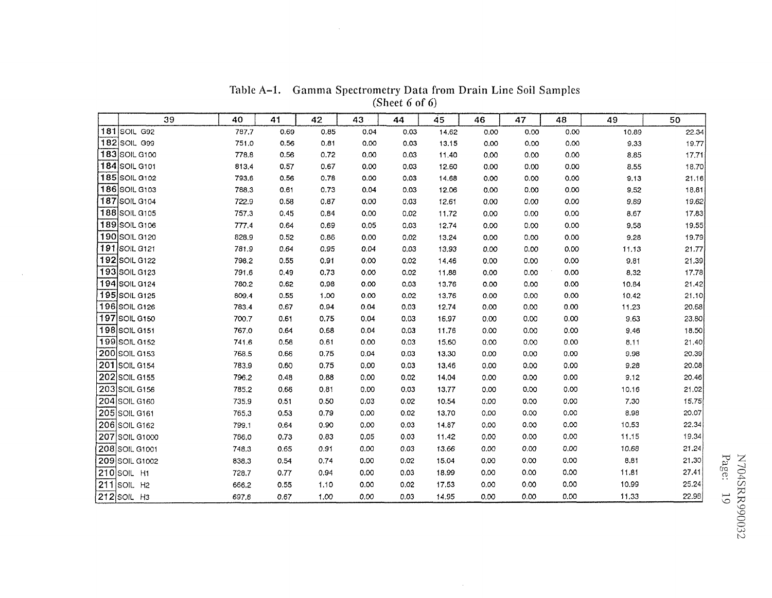|     | 39                        | 40    | 41   | 42   | 43   | 44   | 45    | 46   | 47   | 48   | 49    | 50    |
|-----|---------------------------|-------|------|------|------|------|-------|------|------|------|-------|-------|
|     | <b>181 SOIL G92</b>       | 787.7 | 0.69 | 0.85 | 0.04 | 0.03 | 14.62 | 0.00 | 0.00 | 0.00 | 10.89 | 22.34 |
|     | 182 SOIL G99              | 751.0 | 0.56 | 0.81 | 0.00 | 0.03 | 13.15 | 0.00 | 0.00 | 0.00 | 9.33  | 19.77 |
|     | 183 SOIL G100             | 778.8 | 0.56 | 0.72 | 0,00 | 0.03 | 11.40 | 0.00 | 0.00 | 0.00 | 8.85  | 17.71 |
|     | 184 SOIL G101             | 813.4 | 0.57 | 0.67 | 0.00 | 0.03 | 12.60 | 0.00 | 0.00 | 0.00 | 8,55  | 18.70 |
|     | 185 SOIL G102             | 793.6 | 0.56 | 0.78 | 0.00 | 0.03 | 14.68 | 0.00 | 0.00 | 0.00 | 9.13  | 21.16 |
|     | 186 SOIL G103             | 788.3 | 0.61 | 0.73 | 0.04 | 0.03 | 12.06 | 0.00 | 0.00 | 0.00 | 9.52  | 18.81 |
|     | 187 SOIL G104             | 722.9 | 0.58 | 0.87 | 0.00 | 0.03 | 12.61 | 0.00 | 0.00 | 0,00 | 9.89  | 19.62 |
|     | 188 SOIL G105             | 757.3 | 0.45 | 0.84 | 0,00 | 0.02 | 11.72 | 0.00 | 0.00 | 0,00 | 8.67  | 17.83 |
|     | 189 SOIL G106             | 777.4 | 0.64 | 0.69 | 0.05 | 0.03 | 12.74 | 0.00 | 0.00 | 0.00 | 9,58  | 19.55 |
|     | 190 SOIL G120             | 828.9 | 0.52 | 0.86 | 0.00 | 0.02 | 13.24 | 0.00 | 0.00 | 0.00 | 9.28  | 19.79 |
|     | 191 SOIL G121             | 781.9 | 0.64 | 0.95 | 0.04 | 0.03 | 13.93 | 0,00 | 0.00 | 0,00 | 11.13 | 21.77 |
|     | 192 SOIL G122             | 798.2 | 0.55 | 0.91 | 0.00 | 0.02 | 14.46 | 0.00 | 0.00 | 0,00 | 9,81  | 21.39 |
|     | 193 SOIL G123             | 791.6 | 0.49 | 0.73 | 0.00 | 0.02 | 11.88 | 0.00 | 0.00 | 0.00 | 8.32  | 17.78 |
|     | 194 SOIL G124             | 780.2 | 0.62 | 0.98 | 0.00 | 0.03 | 13.76 | 0.00 | 0.00 | 0.00 | 10.84 | 21.42 |
|     | <b>195 SOIL G125</b>      | 809.4 | 0.55 | 1.00 | 0.00 | 0.02 | 13.76 | 0.00 | 0.00 | 0.00 | 10.42 | 21.10 |
|     | 196 SOIL G126             | 783.4 | 0.67 | 0.94 | 0.04 | 0.03 | 12.74 | 0.00 | 0.00 | 0.00 | 11.23 | 20.68 |
|     | 197 SOIL G150             | 700.7 | 0.61 | 0.75 | 0.04 | 0.03 | 16.97 | 0.00 | 0.00 | 0.00 | 9.63  | 23.80 |
|     | 198 SOIL G151             | 767.0 | 0.64 | 0.68 | 0.04 | 0.03 | 11.76 | 0.00 | 0.00 | 0.00 | 9.46  | 18.50 |
|     | 199 SOIL G152             | 741.6 | 0.56 | 0.61 | 0.00 | 0.03 | 15.60 | 0.00 | 0.00 | 0.00 | 8.11  | 21.40 |
|     | 200 SOIL G153             | 768.5 | 0.66 | 0.75 | 0.04 | 0.03 | 13.30 | 0.00 | 0.00 | 0.00 | 9.98  | 20,39 |
|     | 201 SOIL G154             | 783.9 | 0.60 | 0.75 | 0.00 | 0.03 | 13.46 | 0.00 | 0.00 | 0.00 | 9.28  | 20.08 |
| 202 | SOIL G155                 | 796.2 | 0.48 | 0.88 | 0.00 | 0.02 | 14.04 | 0.00 | 0.00 | 0.00 | 9.12  | 20.46 |
|     | 203 SOIL G156             | 785.2 | 0.66 | 0.81 | 0.00 | 0,03 | 13.77 | 0.00 | 0.00 | 0.00 | 10.16 | 21.02 |
|     | 204 SOIL G160             | 735.9 | 0.51 | 0,50 | 0.03 | 0.02 | 10.54 | 0.00 | 0.00 | 0.00 | 7.30  | 15.75 |
|     | 205 SOIL G161             | 765.3 | 0.53 | 0.79 | 0.00 | 0.02 | 13.70 | 0.00 | 0.00 | 0.00 | 8.98  | 20.07 |
|     | 206 SOIL G162             | 799.1 | 0.64 | 0.90 | 0.00 | 0,03 | 14.87 | 0.00 | 0.00 | 0.00 | 10.53 | 22.34 |
|     | 207 SOIL G1000            | 786,0 | 0.73 | 0,83 | 0.05 | 0.03 | 11.42 | 0,00 | 0.00 | 0.00 | 11.15 | 19.34 |
|     | <b>208 SOIL G1001</b>     | 748.3 | 0.65 | 0.91 | 0.00 | 0,03 | 13.66 | 0.00 | 0.00 | 0.00 | 10.68 | 21.24 |
|     | 209 SOIL G1002            | 838.3 | 0.54 | 0.74 | 0.00 | 0.02 | 15.04 | 0.00 | 0.00 | 0.00 | 8.81  | 21.30 |
|     | <b>210 SOIL H1</b>        | 728.7 | 0.77 | 0.94 | 0.00 | 0.03 | 18.99 | 0.00 | 0.00 | 0.00 | 11.81 | 27.41 |
|     | $211$ SOIL H <sub>2</sub> | 666.2 | 0.55 | 1.10 | 0.00 | 0.02 | 17.53 | 0.00 | 0.00 | 0.00 | 10.99 | 25.24 |
|     | $212$ SOIL H3             | 697.8 | 0.67 | 1,00 | 0,00 | 0.03 | 14.95 | 0.00 | 0.00 | 0.00 | 11.33 | 22.98 |

 $\sim$ 

TabIe **A-1.** Gamma Spectrometry Data from Drain Line Soil Samples (Sheet 6 of 6)

 $\sim 10^{-1}$ 

 $\sim$   $\sim$